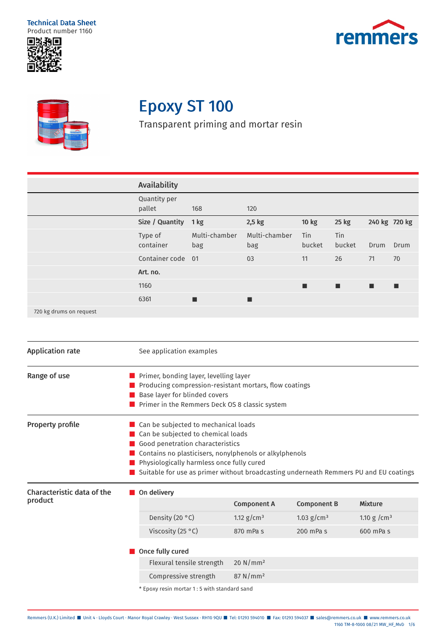Technical Data Sheet Product number 1160







# Epoxy ST 100

Transparent priming and mortar resin

|                         | <b>Availability</b>    |                      |                      |                      |               |               |      |
|-------------------------|------------------------|----------------------|----------------------|----------------------|---------------|---------------|------|
|                         | Quantity per<br>pallet | 168                  | 120                  |                      |               |               |      |
|                         | Size / Quantity        | 1 kg                 | $2,5$ kg             | 10 kg                | 25 kg         | 240 kg 720 kg |      |
|                         | Type of<br>container   | Multi-chamber<br>bag | Multi-chamber<br>bag | <b>Tin</b><br>bucket | Tin<br>bucket | Drum          | Drum |
|                         | Container code 01      |                      | 03                   | 11                   | 26            | 71            | 70   |
|                         | Art. no.               |                      |                      |                      |               |               |      |
|                         | 1160                   |                      |                      | ш                    | п             | п             |      |
|                         | 6361                   | п                    | ■                    |                      |               |               |      |
| 720 kg drums on request |                        |                      |                      |                      |               |               |      |

| <b>Application rate</b>               |                                                                                                                                                                                                                   | See application examples                                                                                                                                                     |                                                                       |                    |                                                                                       |
|---------------------------------------|-------------------------------------------------------------------------------------------------------------------------------------------------------------------------------------------------------------------|------------------------------------------------------------------------------------------------------------------------------------------------------------------------------|-----------------------------------------------------------------------|--------------------|---------------------------------------------------------------------------------------|
| Range of use                          | Primer, bonding layer, levelling layer<br>$\blacksquare$ Producing compression-resistant mortars, flow coatings<br>Base layer for blinded covers<br>$\blacksquare$ Primer in the Remmers Deck OS 8 classic system |                                                                                                                                                                              |                                                                       |                    |                                                                                       |
| <b>Property profile</b>               |                                                                                                                                                                                                                   | $\blacksquare$ Can be subjected to mechanical loads<br>■ Can be subjected to chemical loads<br>Good penetration characteristics<br>Physiologically harmless once fully cured | $\blacksquare$ Contains no plasticisers, nonylphenols or alkylphenols |                    | Suitable for use as primer without broadcasting underneath Remmers PU and EU coatings |
| Characteristic data of the<br>product | On delivery                                                                                                                                                                                                       |                                                                                                                                                                              | <b>Component A</b>                                                    | <b>Component B</b> | <b>Mixture</b>                                                                        |
|                                       |                                                                                                                                                                                                                   | Density (20 °C)                                                                                                                                                              | 1.12 $g/cm^3$                                                         | 1.03 $g/cm^3$      | 1.10 g / $cm3$                                                                        |
|                                       |                                                                                                                                                                                                                   | Viscosity (25 °C)                                                                                                                                                            | 870 mPa s                                                             | $200$ mPa s        | 600 mPa s                                                                             |
|                                       | Once fully cured                                                                                                                                                                                                  |                                                                                                                                                                              |                                                                       |                    |                                                                                       |
|                                       |                                                                                                                                                                                                                   | Flexural tensile strength                                                                                                                                                    | 20 N/mm <sup>2</sup>                                                  |                    |                                                                                       |
|                                       |                                                                                                                                                                                                                   | Compressive strength                                                                                                                                                         | 87 N/mm <sup>2</sup>                                                  |                    |                                                                                       |
|                                       | * Epoxy resin mortar 1:5 with standard sand                                                                                                                                                                       |                                                                                                                                                                              |                                                                       |                    |                                                                                       |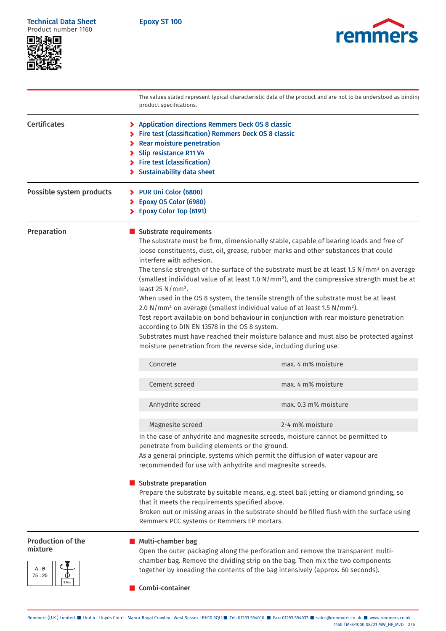Epoxy ST 100





|                                                     | product specifications.                                                                                                                                                                                                                                                                                                 | The values stated represent typical characteristic data of the product and are not to be understood as binding                                                                                                                                                                                                                                                                                                                                                                                                                                                                                                                                                                                                                                                                                                                               |
|-----------------------------------------------------|-------------------------------------------------------------------------------------------------------------------------------------------------------------------------------------------------------------------------------------------------------------------------------------------------------------------------|----------------------------------------------------------------------------------------------------------------------------------------------------------------------------------------------------------------------------------------------------------------------------------------------------------------------------------------------------------------------------------------------------------------------------------------------------------------------------------------------------------------------------------------------------------------------------------------------------------------------------------------------------------------------------------------------------------------------------------------------------------------------------------------------------------------------------------------------|
| <b>Certificates</b>                                 | > Application directions Remmers Deck OS 8 classic<br>> Fire test (classification) Remmers Deck OS 8 classic<br>> Rear moisture penetration<br><b>Slip resistance R11 V4</b><br>⋗<br>> Fire test (classification)<br>> Sustainability data sheet                                                                        |                                                                                                                                                                                                                                                                                                                                                                                                                                                                                                                                                                                                                                                                                                                                                                                                                                              |
| Possible system products                            | > PUR Uni Color (6800)<br>> Epoxy OS Color (6980)<br>> Epoxy Color Top (6191)                                                                                                                                                                                                                                           |                                                                                                                                                                                                                                                                                                                                                                                                                                                                                                                                                                                                                                                                                                                                                                                                                                              |
| Preparation                                         | Substrate requirements<br>interfere with adhesion.<br>least 25 $N/mm^2$ .<br>according to DIN EN 13578 in the OS 8 system.                                                                                                                                                                                              | The substrate must be firm, dimensionally stable, capable of bearing loads and free of<br>loose constituents, dust, oil, grease, rubber marks and other substances that could<br>The tensile strength of the surface of the substrate must be at least 1.5 $N/mm2$ on average<br>(smallest individual value of at least 1.0 N/mm <sup>2</sup> ), and the compressive strength must be at<br>When used in the OS 8 system, the tensile strength of the substrate must be at least<br>2.0 N/mm <sup>2</sup> on average (smallest individual value of at least 1.5 N/mm <sup>2</sup> ).<br>Test report available on bond behaviour in conjunction with rear moisture penetration<br>Substrates must have reached their moisture balance and must also be protected against<br>moisture penetration from the reverse side, including during use. |
|                                                     | Concrete                                                                                                                                                                                                                                                                                                                | max. 4 m% moisture                                                                                                                                                                                                                                                                                                                                                                                                                                                                                                                                                                                                                                                                                                                                                                                                                           |
|                                                     | Cement screed                                                                                                                                                                                                                                                                                                           | max. 4 m% moisture                                                                                                                                                                                                                                                                                                                                                                                                                                                                                                                                                                                                                                                                                                                                                                                                                           |
|                                                     | Anhydrite screed                                                                                                                                                                                                                                                                                                        | max, 0.3 m% moisture                                                                                                                                                                                                                                                                                                                                                                                                                                                                                                                                                                                                                                                                                                                                                                                                                         |
|                                                     | Magnesite screed                                                                                                                                                                                                                                                                                                        | 2-4 m% moisture                                                                                                                                                                                                                                                                                                                                                                                                                                                                                                                                                                                                                                                                                                                                                                                                                              |
|                                                     | penetrate from building elements or the ground.<br>recommended for use with anhydrite and magnesite screeds.                                                                                                                                                                                                            | In the case of anhydrite and magnesite screeds, moisture cannot be permitted to<br>As a general principle, systems which permit the diffusion of water vapour are                                                                                                                                                                                                                                                                                                                                                                                                                                                                                                                                                                                                                                                                            |
|                                                     | <b>Substrate preparation</b><br>Prepare the substrate by suitable means, e.g. steel ball jetting or diamond grinding, so<br>that it meets the requirements specified above.<br>Broken out or missing areas in the substrate should be filled flush with the surface using<br>Remmers PCC systems or Remmers EP mortars. |                                                                                                                                                                                                                                                                                                                                                                                                                                                                                                                                                                                                                                                                                                                                                                                                                                              |
| <b>Production of the</b><br>mixture<br>A:B<br>75:25 | <b>Multi-chamber bag</b><br>Combi-container                                                                                                                                                                                                                                                                             | Open the outer packaging along the perforation and remove the transparent multi-<br>chamber bag. Remove the dividing strip on the bag. Then mix the two components<br>together by kneading the contents of the bag intensively (approx. 60 seconds).                                                                                                                                                                                                                                                                                                                                                                                                                                                                                                                                                                                         |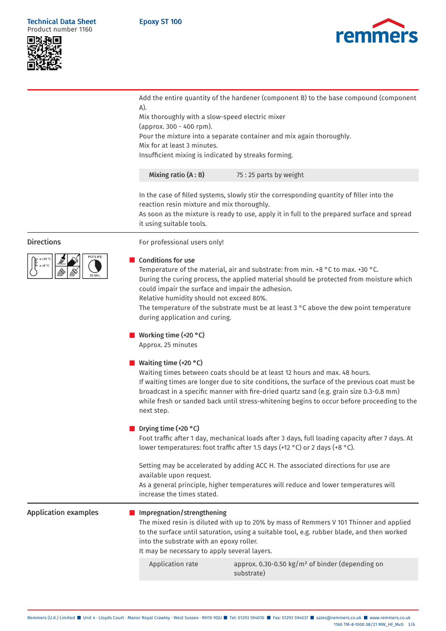## Epoxy ST 100







Add the entire quantity of the hardener (component B) to the base compound (component A).

Mix thoroughly with a slow-speed electric mixer (approx. 300 - 400 rpm). Pour the mixture into a separate container and mix again thoroughly. Mix for at least 3 minutes. Insufficient mixing is indicated by streaks forming.

| 75 : 25 parts by weight |
|-------------------------|

In the case of filled systems, slowly stir the corresponding quantity of filler into the reaction resin mixture and mix thoroughly.

As soon as the mixture is ready to use, apply it in full to the prepared surface and spread it using suitable tools.



# Directions For professional users only!

## ■ Conditions for use

Temperature of the material, air and substrate: from min. +8 °C to max. +30 °C. During the curing process, the applied material should be protected from moisture which could impair the surface and impair the adhesion. Relative humidity should not exceed 80%.

The temperature of the substrate must be at least 3 °C above the dew point temperature during application and curing.

# ■ Working time (+20 °C)

Approx. 25 minutes

# ■ Waiting time (+20 °C)

Waiting times between coats should be at least 12 hours and max. 48 hours. If waiting times are longer due to site conditions, the surface of the previous coat must be broadcast in a specific manner with fire-dried quartz sand (e.g. grain size 0.3-0.8 mm) while fresh or sanded back until stress-whitening begins to occur before proceeding to the next step.

# ■ Drying time (+20 °C)

Foot traffic after 1 day, mechanical loads after 3 days, full loading capacity after 7 days. At lower temperatures: foot traffic after 1.5 days (+12 °C) or 2 days (+8 °C).

Setting may be accelerated by adding ACC H. The associated directions for use are available upon request.

As a general principle, higher temperatures will reduce and lower temperatures will increase the times stated.

Application examples **Interprese Interpretent** Impregnation/strengthening The mixed resin is diluted with up to 20% by mass of Remmers V 101 Thinner and applied to the surface until saturation, using a suitable tool, e.g. rubber blade, and then worked into the substrate with an epoxy roller. It may be necessary to apply several layers.

Application rate approx. 0.30-0.50 kg/m<sup>2</sup> of binder (depending on substrate)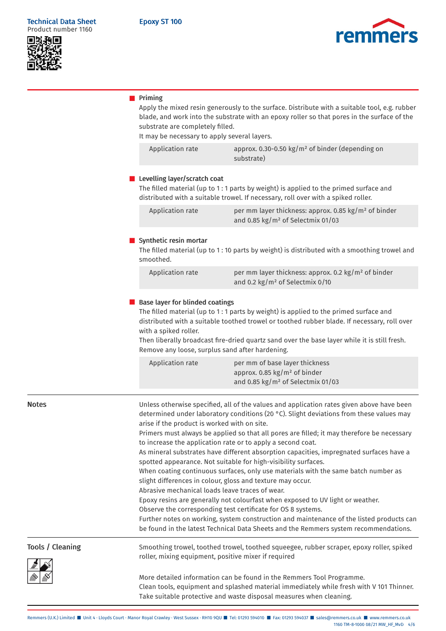



## ■ Priming

Apply the mixed resin generously to the surface. Distribute with a suitable tool, e.g. rubber blade, and work into the substrate with an epoxy roller so that pores in the surface of the substrate are completely filled.

It may be necessary to apply several layers.

Application rate

| approx. 0.30-0.50 $\text{kg/m}^2$ of binder (depending on |
|-----------------------------------------------------------|
| substrate)                                                |

#### ■ Levelling layer/scratch coat

The filled material (up to 1 : 1 parts by weight) is applied to the primed surface and distributed with a suitable trowel. If necessary, roll over with a spiked roller.

| Application rate | per mm layer thickness: approx. 0.85 $kg/m2$ of binder |
|------------------|--------------------------------------------------------|
|                  | and 0.85 kg/m <sup>2</sup> of Selectmix 01/03          |

#### ■ Synthetic resin mortar

The filled material (up to 1 : 10 parts by weight) is distributed with a smoothing trowel and smoothed.

| Application rate | per mm layer thickness: approx. 0.2 kg/m <sup>2</sup> of binder |
|------------------|-----------------------------------------------------------------|
|                  | and 0.2 kg/m <sup>2</sup> of Selectmix 0/10                     |

## ■ Base layer for blinded coatings

The filled material (up to 1 : 1 parts by weight) is applied to the primed surface and distributed with a suitable toothed trowel or toothed rubber blade. If necessary, roll over with a spiked roller.

Then liberally broadcast fire-dried quartz sand over the base layer while it is still fresh. Remove any loose, surplus sand after hardening.

| Application rate | per mm of base layer thickness                |
|------------------|-----------------------------------------------|
|                  | approx. 0.85 $kg/m2$ of binder                |
|                  | and 0.85 kg/m <sup>2</sup> of Selectmix 01/03 |

Notes **Notes Example 3** Unless otherwise specified, all of the values and application rates given above have been determined under laboratory conditions (20 °C). Slight deviations from these values may arise if the product is worked with on site. Primers must always be applied so that all pores are filled; it may therefore be necessary to increase the application rate or to apply a second coat. As mineral substrates have different absorption capacities, impregnated surfaces have a spotted appearance. Not suitable for high-visibility surfaces. When coating continuous surfaces, only use materials with the same batch number as slight differences in colour, gloss and texture may occur. Abrasive mechanical loads leave traces of wear. Epoxy resins are generally not colourfast when exposed to UV light or weather. Observe the corresponding test certificate for OS 8 systems. Further notes on working, system construction and maintenance of the listed products can be found in the latest Technical Data Sheets and the Remmers system recommendations. Tools / Cleaning Smoothing trowel, toothed trowel, toothed squeegee, rubber scraper, epoxy roller, spiked roller, mixing equipment, positive mixer if required More detailed information can be found in the Remmers Tool Programme. Clean tools, equipment and splashed material immediately while fresh with V 101 Thinner.

Take suitable protective and waste disposal measures when cleaning.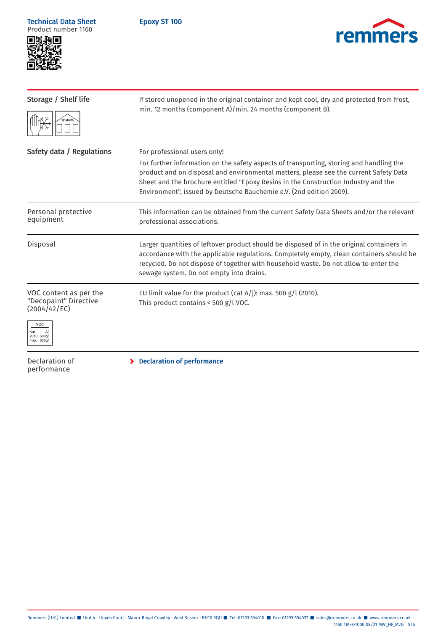Technical Data Sheet Product number 1160

Epoxy ST 100





| Storage / Shelf life                                                                                   | If stored unopened in the original container and kept cool, dry and protected from frost,<br>min. 12 months (component A)/min. 24 months (component B).                                                                                                                                                                                                                       |  |  |
|--------------------------------------------------------------------------------------------------------|-------------------------------------------------------------------------------------------------------------------------------------------------------------------------------------------------------------------------------------------------------------------------------------------------------------------------------------------------------------------------------|--|--|
|                                                                                                        |                                                                                                                                                                                                                                                                                                                                                                               |  |  |
| Safety data / Regulations                                                                              | For professional users only!<br>For further information on the safety aspects of transporting, storing and handling the<br>product and on disposal and environmental matters, please see the current Safety Data<br>Sheet and the brochure entitled "Epoxy Resins in the Construction Industry and the<br>Environment", issued by Deutsche Bauchemie e.V. (2nd edition 2009). |  |  |
| Personal protective<br>equipment                                                                       | This information can be obtained from the current Safety Data Sheets and/or the relevant<br>professional associations.                                                                                                                                                                                                                                                        |  |  |
| Disposal                                                                                               | Larger quantities of leftover product should be disposed of in the original containers in<br>accordance with the applicable regulations. Completely empty, clean containers should be<br>recycled. Do not dispose of together with household waste. Do not allow to enter the<br>sewage system. Do not empty into drains.                                                     |  |  |
| VOC content as per the<br>"Decopaint" Directive<br>(2004/42/EC)<br>VOC<br>2010: 500g/l<br>max.: 500g/l | EU limit value for the product (cat A/j): max. 500 $g/l$ (2010).<br>This product contains < 500 g/l VOC.                                                                                                                                                                                                                                                                      |  |  |
| Declaration of<br>performance                                                                          | <b>Declaration of performance</b>                                                                                                                                                                                                                                                                                                                                             |  |  |